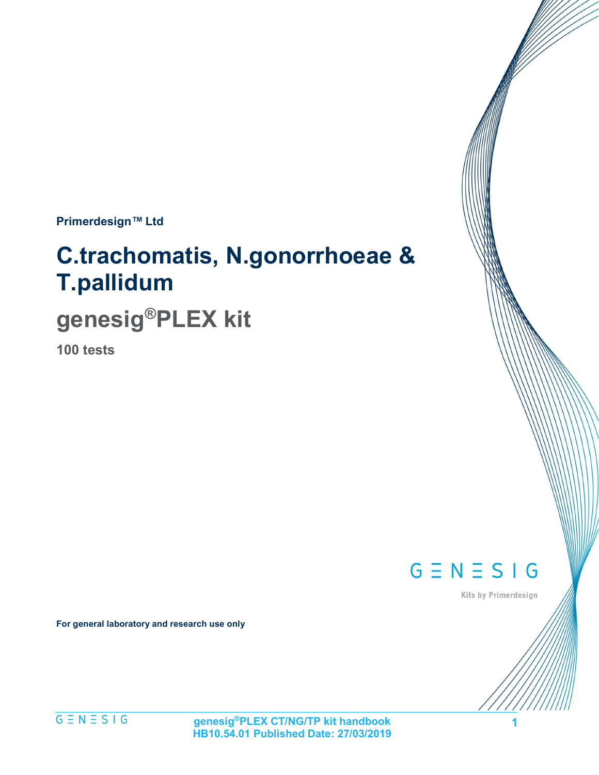Primerdesign™ Ltd

# C.trachomatis, N.gonorrhoeae & T.pallidum

# genesig®PLEX kit

100 tests

 $G \equiv N \equiv S \mid G$ 

Kits by Primerdesign

1

For general laboratory and research use only

 $G \equiv N \equiv S \mid G$ 

genesig®PLEX CT/NG/TP kit handbook HB10.54.01 Published Date: 27/03/2019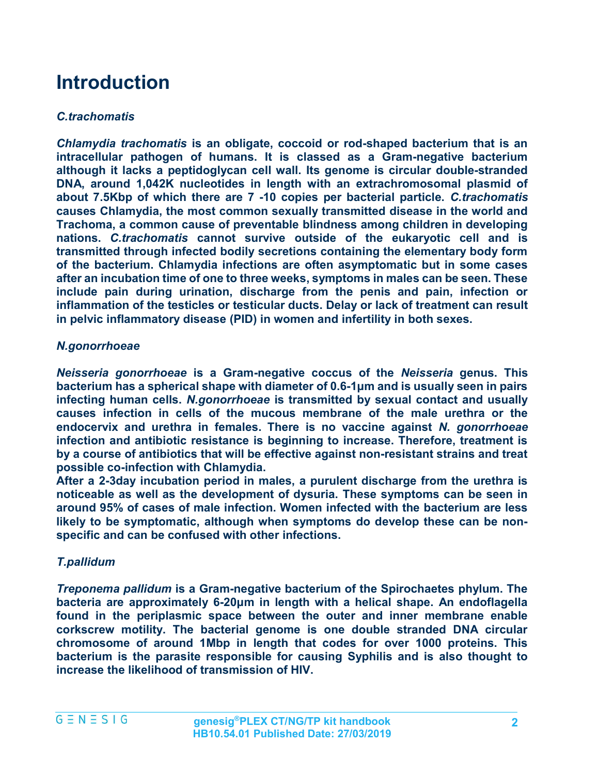# Introduction

#### C.trachomatis

Chlamydia trachomatis is an obligate, coccoid or rod-shaped bacterium that is an intracellular pathogen of humans. It is classed as a Gram-negative bacterium although it lacks a peptidoglycan cell wall. Its genome is circular double-stranded DNA, around 1,042K nucleotides in length with an extrachromosomal plasmid of about 7.5Kbp of which there are 7 -10 copies per bacterial particle. C.trachomatis causes Chlamydia, the most common sexually transmitted disease in the world and Trachoma, a common cause of preventable blindness among children in developing nations. C.trachomatis cannot survive outside of the eukaryotic cell and is transmitted through infected bodily secretions containing the elementary body form of the bacterium. Chlamydia infections are often asymptomatic but in some cases after an incubation time of one to three weeks, symptoms in males can be seen. These include pain during urination, discharge from the penis and pain, infection or inflammation of the testicles or testicular ducts. Delay or lack of treatment can result in pelvic inflammatory disease (PID) in women and infertility in both sexes.

#### N.gonorrhoeae

Neisseria gonorrhoeae is a Gram-negative coccus of the Neisseria genus. This bacterium has a spherical shape with diameter of 0.6-1μm and is usually seen in pairs infecting human cells. N.gonorrhoeae is transmitted by sexual contact and usually causes infection in cells of the mucous membrane of the male urethra or the endocervix and urethra in females. There is no vaccine against N. gonorrhoeae infection and antibiotic resistance is beginning to increase. Therefore, treatment is by a course of antibiotics that will be effective against non-resistant strains and treat possible co-infection with Chlamydia.

After a 2-3day incubation period in males, a purulent discharge from the urethra is noticeable as well as the development of dysuria. These symptoms can be seen in around 95% of cases of male infection. Women infected with the bacterium are less likely to be symptomatic, although when symptoms do develop these can be nonspecific and can be confused with other infections.

#### T.pallidum

Treponema pallidum is a Gram-negative bacterium of the Spirochaetes phylum. The bacteria are approximately 6-20μm in length with a helical shape. An endoflagella found in the periplasmic space between the outer and inner membrane enable corkscrew motility. The bacterial genome is one double stranded DNA circular chromosome of around 1Mbp in length that codes for over 1000 proteins. This bacterium is the parasite responsible for causing Syphilis and is also thought to increase the likelihood of transmission of HIV.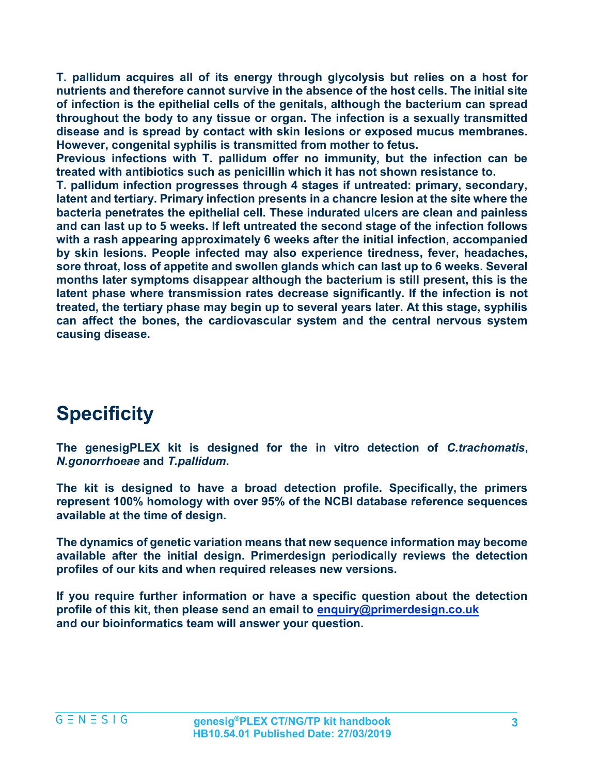T. pallidum acquires all of its energy through glycolysis but relies on a host for nutrients and therefore cannot survive in the absence of the host cells. The initial site of infection is the epithelial cells of the genitals, although the bacterium can spread throughout the body to any tissue or organ. The infection is a sexually transmitted disease and is spread by contact with skin lesions or exposed mucus membranes. However, congenital syphilis is transmitted from mother to fetus.

Previous infections with T. pallidum offer no immunity, but the infection can be treated with antibiotics such as penicillin which it has not shown resistance to.

T. pallidum infection progresses through 4 stages if untreated: primary, secondary, latent and tertiary. Primary infection presents in a chancre lesion at the site where the bacteria penetrates the epithelial cell. These indurated ulcers are clean and painless and can last up to 5 weeks. If left untreated the second stage of the infection follows with a rash appearing approximately 6 weeks after the initial infection, accompanied by skin lesions. People infected may also experience tiredness, fever, headaches, sore throat, loss of appetite and swollen glands which can last up to 6 weeks. Several months later symptoms disappear although the bacterium is still present, this is the latent phase where transmission rates decrease significantly. If the infection is not treated, the tertiary phase may begin up to several years later. At this stage, syphilis can affect the bones, the cardiovascular system and the central nervous system causing disease.

# **Specificity**

The genesigPLEX kit is designed for the in vitro detection of C.trachomatis, N.gonorrhoeae and T.pallidum.

The kit is designed to have a broad detection profile. Specifically, the primers represent 100% homology with over 95% of the NCBI database reference sequences available at the time of design.

The dynamics of genetic variation means that new sequence information may become available after the initial design. Primerdesign periodically reviews the detection profiles of our kits and when required releases new versions.

If you require further information or have a specific question about the detection profile of this kit, then please send an email to enquiry@primerdesign.co.uk and our bioinformatics team will answer your question.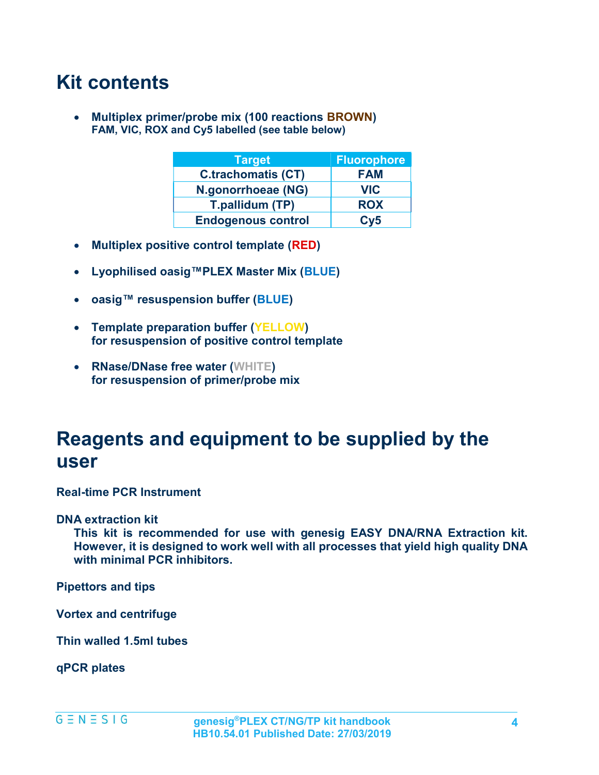## Kit contents

• Multiplex primer/probe mix (100 reactions BROWN) FAM, VIC, ROX and Cy5 labelled (see table below)

| <b>Target</b>             | <b>Fluorophore</b> |
|---------------------------|--------------------|
| <b>C.trachomatis (CT)</b> | <b>FAM</b>         |
| N.gonorrhoeae (NG)        | <b>VIC</b>         |
| T.pallidum (TP)           | <b>ROX</b>         |
| <b>Endogenous control</b> | Cv5                |

- Multiplex positive control template (RED)
- Lyophilised oasig™PLEX Master Mix (BLUE)
- oasig™ resuspension buffer (BLUE)
- Template preparation buffer (YELLOW) for resuspension of positive control template
- RNase/DNase free water (WHITE) for resuspension of primer/probe mix

### Reagents and equipment to be supplied by the user

Real-time PCR Instrument

#### DNA extraction kit

This kit is recommended for use with genesig EASY DNA/RNA Extraction kit. However, it is designed to work well with all processes that yield high quality DNA with minimal PCR inhibitors.

Pipettors and tips

Vortex and centrifuge

Thin walled 1.5ml tubes

qPCR plates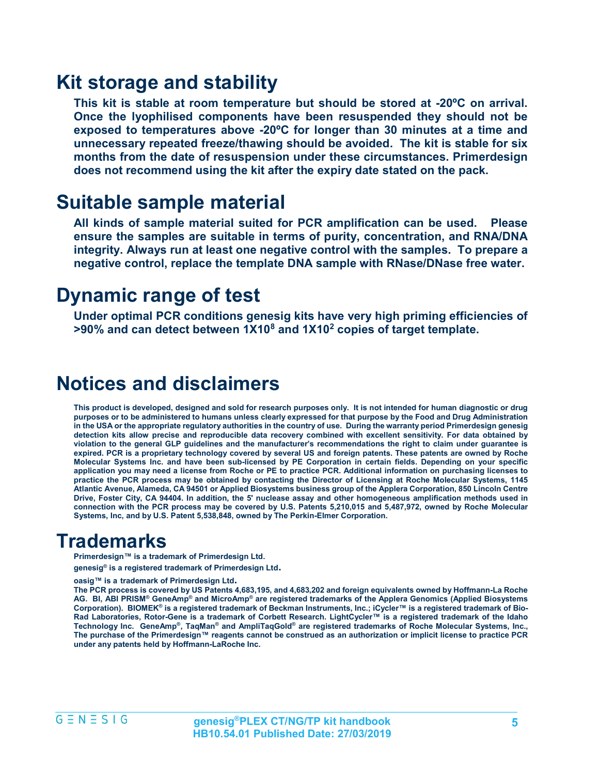### Kit storage and stability

This kit is stable at room temperature but should be stored at -20ºC on arrival. Once the lyophilised components have been resuspended they should not be exposed to temperatures above -20ºC for longer than 30 minutes at a time and unnecessary repeated freeze/thawing should be avoided. The kit is stable for six months from the date of resuspension under these circumstances. Primerdesign does not recommend using the kit after the expiry date stated on the pack.

### Suitable sample material

All kinds of sample material suited for PCR amplification can be used. Please ensure the samples are suitable in terms of purity, concentration, and RNA/DNA integrity. Always run at least one negative control with the samples. To prepare a negative control, replace the template DNA sample with RNase/DNase free water.

### Dynamic range of test

Under optimal PCR conditions genesig kits have very high priming efficiencies of  $>$ 90% and can detect between 1X10 $^8$  and 1X10 $^2$  copies of target template.

### Notices and disclaimers

This product is developed, designed and sold for research purposes only. It is not intended for human diagnostic or drug purposes or to be administered to humans unless clearly expressed for that purpose by the Food and Drug Administration in the USA or the appropriate regulatory authorities in the country of use. During the warranty period Primerdesign genesig detection kits allow precise and reproducible data recovery combined with excellent sensitivity. For data obtained by violation to the general GLP guidelines and the manufacturer's recommendations the right to claim under guarantee is expired. PCR is a proprietary technology covered by several US and foreign patents. These patents are owned by Roche Molecular Systems Inc. and have been sub-licensed by PE Corporation in certain fields. Depending on your specific application you may need a license from Roche or PE to practice PCR. Additional information on purchasing licenses to practice the PCR process may be obtained by contacting the Director of Licensing at Roche Molecular Systems, 1145 Atlantic Avenue, Alameda, CA 94501 or Applied Biosystems business group of the Applera Corporation, 850 Lincoln Centre Drive, Foster City, CA 94404. In addition, the 5' nuclease assay and other homogeneous amplification methods used in connection with the PCR process may be covered by U.S. Patents 5,210,015 and 5,487,972, owned by Roche Molecular Systems, Inc, and by U.S. Patent 5,538,848, owned by The Perkin-Elmer Corporation.

### **Trademarks**

Primerdesign™ is a trademark of Primerdesign Ltd.

genesig® is a registered trademark of Primerdesign Ltd.

oasig™ is a trademark of Primerdesign Ltd.

The PCR process is covered by US Patents 4,683,195, and 4,683,202 and foreign equivalents owned by Hoffmann-La Roche AG. Bl, ABI PRISM® GeneAmp® and MicroAmp® are registered trademarks of the Applera Genomics (Applied Biosystems Corporation). BIOMEK® is a registered trademark of Beckman Instruments, Inc.; iCycler™ is a registered trademark of Bio-Rad Laboratories, Rotor-Gene is a trademark of Corbett Research. LightCycler™ is a registered trademark of the Idaho Technology Inc. GeneAmp®, TaqMan® and AmpliTaqGold® are registered trademarks of Roche Molecular Systems, Inc., The purchase of the Primerdesign™ reagents cannot be construed as an authorization or implicit license to practice PCR under any patents held by Hoffmann-LaRoche Inc.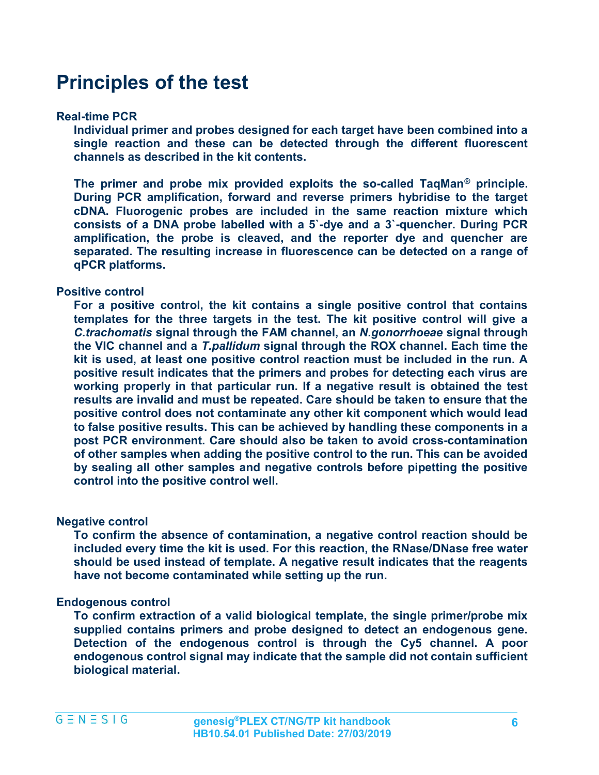### Principles of the test

#### Real-time PCR

Individual primer and probes designed for each target have been combined into a single reaction and these can be detected through the different fluorescent channels as described in the kit contents.

The primer and probe mix provided exploits the so-called TaqMan® principle. During PCR amplification, forward and reverse primers hybridise to the target cDNA. Fluorogenic probes are included in the same reaction mixture which consists of a DNA probe labelled with a 5`-dye and a 3`-quencher. During PCR amplification, the probe is cleaved, and the reporter dye and quencher are separated. The resulting increase in fluorescence can be detected on a range of qPCR platforms.

#### Positive control

For a positive control, the kit contains a single positive control that contains templates for the three targets in the test. The kit positive control will give a C.trachomatis signal through the FAM channel, an N.gonorrhoeae signal through the VIC channel and a T.pallidum signal through the ROX channel. Each time the kit is used, at least one positive control reaction must be included in the run. A positive result indicates that the primers and probes for detecting each virus are working properly in that particular run. If a negative result is obtained the test results are invalid and must be repeated. Care should be taken to ensure that the positive control does not contaminate any other kit component which would lead to false positive results. This can be achieved by handling these components in a post PCR environment. Care should also be taken to avoid cross-contamination of other samples when adding the positive control to the run. This can be avoided by sealing all other samples and negative controls before pipetting the positive control into the positive control well.

#### Negative control

To confirm the absence of contamination, a negative control reaction should be included every time the kit is used. For this reaction, the RNase/DNase free water should be used instead of template. A negative result indicates that the reagents have not become contaminated while setting up the run.

#### Endogenous control

To confirm extraction of a valid biological template, the single primer/probe mix supplied contains primers and probe designed to detect an endogenous gene. Detection of the endogenous control is through the Cy5 channel. A poor endogenous control signal may indicate that the sample did not contain sufficient biological material.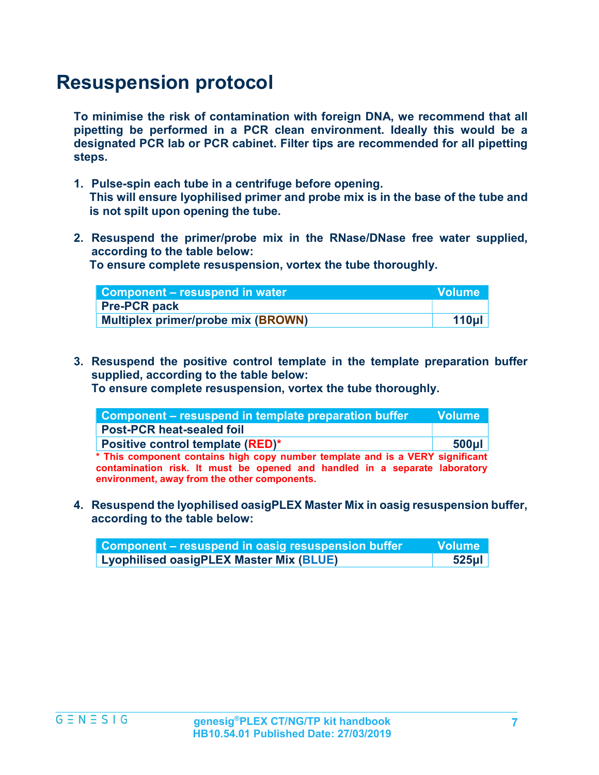### Resuspension protocol

To minimise the risk of contamination with foreign DNA, we recommend that all pipetting be performed in a PCR clean environment. Ideally this would be a designated PCR lab or PCR cabinet. Filter tips are recommended for all pipetting steps.

- 1. Pulse-spin each tube in a centrifuge before opening. This will ensure lyophilised primer and probe mix is in the base of the tube and is not spilt upon opening the tube.
- 2. Resuspend the primer/probe mix in the RNase/DNase free water supplied, according to the table below:

To ensure complete resuspension, vortex the tube thoroughly.

| Component – resuspend in water            | <b>Volume</b>    |
|-------------------------------------------|------------------|
| <b>Pre-PCR pack</b>                       |                  |
| <b>Multiplex primer/probe mix (BROWN)</b> | 110 <sub>µ</sub> |

3. Resuspend the positive control template in the template preparation buffer supplied, according to the table below:

To ensure complete resuspension, vortex the tube thoroughly.

| Component – resuspend in template preparation buffer                                                                                                                                                        | <b>Volume</b> |
|-------------------------------------------------------------------------------------------------------------------------------------------------------------------------------------------------------------|---------------|
| <b>Post-PCR heat-sealed foil</b>                                                                                                                                                                            |               |
| Positive control template (RED)*                                                                                                                                                                            | $500$ µl      |
| * This component contains high copy number template and is a VERY significant<br>contamination risk. It must be opened and handled in a separate laboratory<br>environment, away from the other components. |               |

4. Resuspend the lyophilised oasigPLEX Master Mix in oasig resuspension buffer, according to the table below:

| Component – resuspend in oasig resuspension buffer | ا Volume |
|----------------------------------------------------|----------|
| Lyophilised oasigPLEX Master Mix (BLUE)            | 525µI    |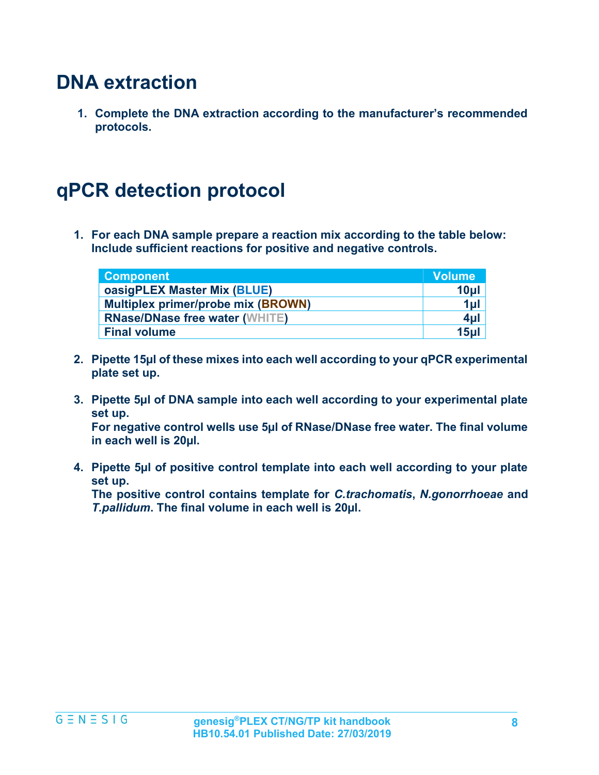## DNA extraction

1. Complete the DNA extraction according to the manufacturer's recommended protocols.

## qPCR detection protocol

1. For each DNA sample prepare a reaction mix according to the table below: Include sufficient reactions for positive and negative controls.

| <b>Component</b>                          | <b>Volume</b> |
|-------------------------------------------|---------------|
| oasigPLEX Master Mix (BLUE)               | 10µ           |
| <b>Multiplex primer/probe mix (BROWN)</b> | $1 \mu$       |
| <b>RNase/DNase free water (WHITE)</b>     | $4 \mu$       |
| <b>Final volume</b>                       | 15µ           |

- 2. Pipette 15µl of these mixes into each well according to your qPCR experimental plate set up.
- 3. Pipette 5µl of DNA sample into each well according to your experimental plate set up.

For negative control wells use 5µl of RNase/DNase free water. The final volume in each well is 20µl.

4. Pipette 5µl of positive control template into each well according to your plate set up.

The positive control contains template for *C.trachomatis*, *N.gonorrhoeae* and T.pallidum. The final volume in each well is 20µl.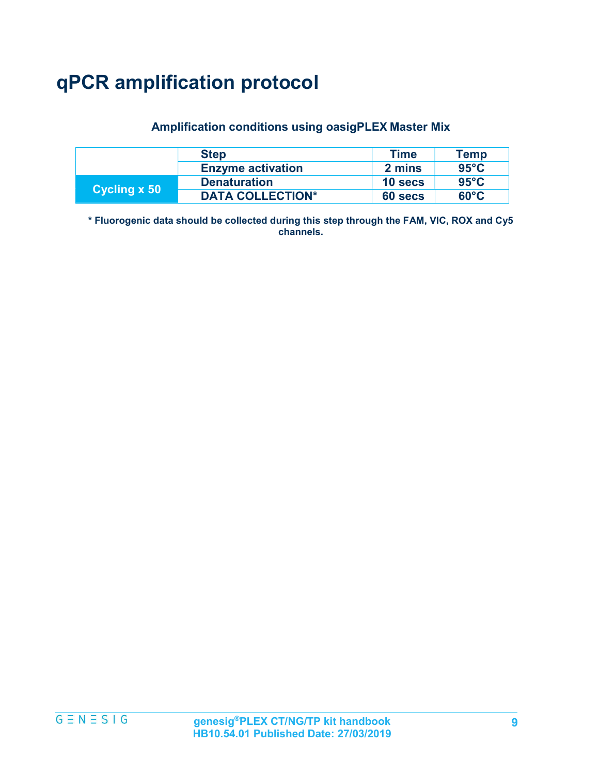# qPCR amplification protocol

#### Amplification conditions using oasigPLEX Master Mix

|              | <b>Step</b>              | Time    | <b>Temp</b>    |
|--------------|--------------------------|---------|----------------|
|              | <b>Enzyme activation</b> | 2 mins  | $95^{\circ}$ C |
| Cycling x 50 | <b>Denaturation</b>      | 10 secs | $95^{\circ}$ C |
|              | <b>DATA COLLECTION*</b>  | 60 secs | $60^{\circ}$ C |

\* Fluorogenic data should be collected during this step through the FAM, VIC, ROX and Cy5 channels.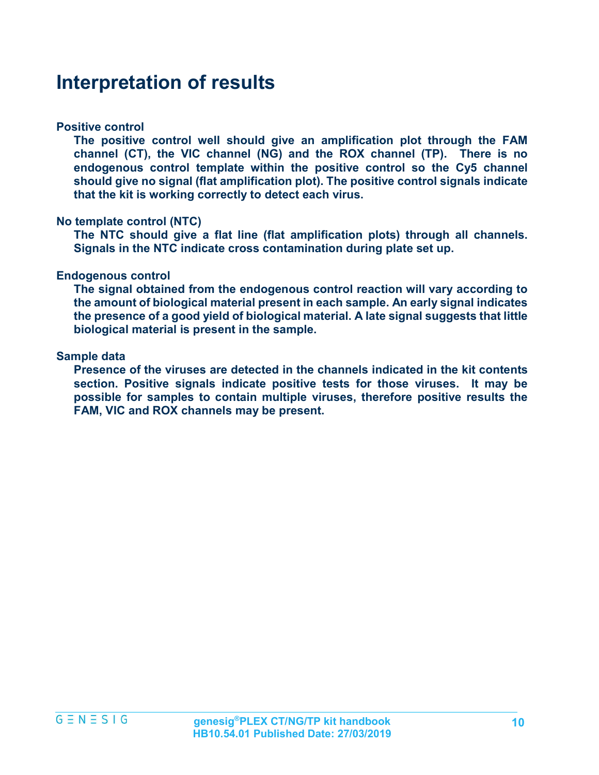### Interpretation of results

#### Positive control

The positive control well should give an amplification plot through the FAM channel (CT), the VIC channel (NG) and the ROX channel (TP). There is no endogenous control template within the positive control so the Cy5 channel should give no signal (flat amplification plot). The positive control signals indicate that the kit is working correctly to detect each virus.

#### No template control (NTC)

The NTC should give a flat line (flat amplification plots) through all channels. Signals in the NTC indicate cross contamination during plate set up.

#### Endogenous control

The signal obtained from the endogenous control reaction will vary according to the amount of biological material present in each sample. An early signal indicates the presence of a good yield of biological material. A late signal suggests that little biological material is present in the sample.

#### Sample data

Presence of the viruses are detected in the channels indicated in the kit contents section. Positive signals indicate positive tests for those viruses. It may be possible for samples to contain multiple viruses, therefore positive results the FAM, VIC and ROX channels may be present.